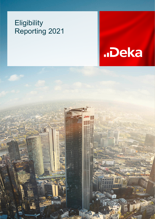# **Eligibility** Reporting 2021



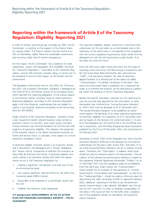## **Reporting within the framework of Article 8 of the Taxonomy Regulation: Eligibility Reporting 2021**

In order to achieve greenhouse gas neutrality by 2050, the EU Commission is counting on the support of the finance industry, among others. The finance industry has the central function of channelling capital flows into sustainable investments and ensuring a high level of market transparency.

For this reason, the EU Commission has created an EU-wide classification system with Regulation (EU) 2020/852 (hereinafter "Taxonomy Regulation"). According to this Taxonomy Regulation, around 100 economic activities along 13 sectors are to be evaluated in terms of their impact on the climate and the environment.

The Regulation entered into force in July 2020. On 10 December 2021, the European Commission published a delegated act (EU) 2021/2178 in the Official Journal of the European Union, which specifies the reporting obligations of the various players in the financial market, including those of credit institutions. Reporting obligations according to the Taxonomy Regulation apply to all (non-)financial undertakings that are obliged to submit a non-financial statement according to the Accounting Directive 2013/34/EU.

Under Article 8 of the Taxonomy Regulation, the Deka Group is also required to classify relevant business using certain assessment criteria. For the 2021 year under review, the Deka Group's business was therefore analysed for the first time with regard to its taxonomy eligibility. This indicates the proportion of the business volume in the above-mentioned economic activities and sectors that is, in principle, to be subject to a future taxonomy compliance review.

A taxonomy-eligible economic activity is an economic activity that is described in the delegated acts ("Climate Delegated Act" Annex I and II), irrespective of whether this economic activity fulfils all technical test criteria. A taxonomy-aligned economic activity is an economic activity that fulfils the requirements set out in the Taxonomy Regulation by ...:

- 1. ...making a significant contribution to at least one of the six environmental goals
- 2. ...not causing significant adverse effects on the other environmental goals (DNSH criteria)
- 3. ...being able to be evaluated in a scientifically sound manner and
- 4. ...fulfilling the minimum social safeguards

### (**CF. Background: DEVELOPMENTS IN THE EU ACTION PLAN FOR FINANCING SUSTAINABLE GROWTH – THE EU TAXONOMY**)

The taxonomy eligibility analysis carried out is therefore to be understood, on the one hand, as an intermediate step in the reporting; on the other hand, it corresponds to full compliance with the current regulatory requirements under Article 8 of the delegated act until the full requirements under Article 10 of the same act enter into force.

From the 2023 year under review and when the full scope of reporting comes into force, the Deka Group is required to publish the Green Asset Ratio (hereinafter also referred to as "GAR"). This key figure indicates the ratio of taxonomyaligned business to a defined part of the assets (so-called "Covered Assets"; for details, see below) of the bank. Only when the Green Asset Ratio is published can a statement be made as to whether the business can be described as sustainable within the meaning of the EU Taxonomy Regulation.

Neither the specific calculation methods nor the reporting format are currently fully specified for the information or ratios (hereinafter also referred to as "key performance indicators" or "KPIs") that must be disclosed as of 31 December 2021. The key performance indicators to be published are determined against the backdrop of an initial reporting requirement of taxonomy eligibility for companies as of 31 December 2021 and are based on the Annexes for credit institutions V, VI and XI of the Delegated Act (EU) 2021/2178 in the EU Official Journal in conjunction with the FAQs (Frequently Asked Questions) published by the EU on 20 December 2021 and concretized on 02 February 2022.

According to Article 10(2) of the Delegated Act, seven Key Performance Indicators (KPIs) are to be disclosed by the financial undertakings for the years under review 2021 and 2022. In total, these key performance indicators are set in relation to total assets. Therefore, the "Total Assets" (= balance sheet total) should be used as reference value in the denominator. The calculation of the relevant key performance indicators is based on the regulatory Financial Reporting (hereinafter "FinRep") as on 31 December 2021 and the regulatory scope of consolidation. From the 2023 year under review, the "Covered Assets", which provide for an exclusion of the exposures to "Central Governments, Central Banks and Supranationals" as well as of the "Trading portfolios", should be used as reference value for determining the GAR. According to FAQ 21 dated 02 February 2022, additional reporting of the KPIs as per the aforementioned Covered Assets is also allowed. DekaBank uses this option for KPI 1 and KPI 2 in order to facilitate comparability of the ratios in the course of time for the GAR under consideration of the qualitative details for calculating the key performance indicators.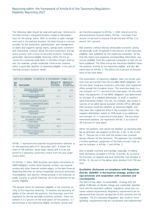The following table should be read with particular reference to the Deka Group's integrated business model as Wertpapierhaus for the savings banks. With its activities in asset management and in the banking business, the Deka Group is a service provider for the investment, administration and management of assets and supports savings banks, savings bank customers and institutional investors along the entire investment and advisory process, with a focus on securities business. Financing, particularly taxonomy-eligible financing within the EU, accounts for a relatively small share in the Deka Group's total assets. For example, private residential construction business, which is generally classified as taxonomy-eligible, is not part of the Deka Group's business model.

#### KPI'S ACCORDING TO ARTICLE 8 TAXONOMY (TABLE 25)

| <b>KPI</b><br>No.        | <b>Description</b>                                                                               | Share in %<br>With reference<br>to Total Assets | Share in %<br>With reference<br>to Covered Assets |
|--------------------------|--------------------------------------------------------------------------------------------------|-------------------------------------------------|---------------------------------------------------|
|                          | Taxonomy-eligible assets<br><b>Total assets</b>                                                  | 3 O                                             | 4.8                                               |
| $\overline{\phantom{0}}$ | Non-taxonomy-eligible assets<br><b>Total assets</b>                                              | 21.1                                            | 34.1                                              |
| $\overline{3}$           | Risk positions against central states +<br>central banks + supranational issuers<br>Total assets | 21.1                                            |                                                   |
| 4                        | Derivatives (banking book and<br>trading book)<br><b>Total assets</b>                            | 7.1                                             |                                                   |
| 5                        | Risk positions against entities<br>not subject to NFRD<br>Total assets                           | 28.4                                            |                                                   |
| 6                        | Trading portfolio<br><b>Total assets</b>                                                         | 18.7                                            |                                                   |
| 7                        | Short-term interbank loans<br><b>Total assets</b>                                                | 2.9                                             |                                                   |
|                          |                                                                                                  |                                                 |                                                   |

KPI No. 1 represents the essential key performance indicator as on the reporting date of 31 December 2021. It shows the share of risk positions (gross book values) and is to be subjected to a taxonomy conformity review from the year under review 2023.

For KPI No. 1, loans, debt securities and equity instruments to NFRD-obligated entities (both financial entities, non-financial entities and other financial entities subject to the Non-Financial Reporting Directive) as well as households and local authorities (municipalities and districts, whose purpose is the financing of public housing or special financing) are to be examined for taxonomy eligibility.

The decisive factor for taxonomy eligibility is the economic activity of the respective financing. To examine the taxonomy eligibility of the relevant risk positions, the financings were first examined for directly derivable economic activities. These are present in 3.7 percent of the total assets. Of this position, 0.7 percent have a non-taxonomy-eligible economic activity and

are therefore assigned to KPI No. 2. With reference to the aforementioned Covered Assets, KPI No. 1 increases from around 3.0 percent to around 4.8 percent and KPI No. 2 to around 34.1 percent.

Risk positions without directly attributable economic activity are generally to be recognised in the amount of the taxonomy eligibility ratio published by the respective companies. At the time the report was prepared, corresponding information was not yet available from the respective companies or had not yet been published. The Deka Group has therefore classified these risk positions entirely as non-taxonomy-eligible and also allocated them to KPI No. 2. This affects 20.4 percent of the positions of the total assets.

The examination of taxonomy eligibility does not include positions that are exempt from the so-called NFRD obligation. On the one hand, these are customers, who have their registered office outside the European Union. This restriction leads to a non-inclusion of 17.1 percent of the total assets. On the other hand, the assessment of the NFRD obligation was determined on the basis of a negative delimitation to small or mediumsized enterprises (SMEs). This can, for example, also involve financing of so-called special purpose vehicles (SPVs), although their purpose would be classified as taxonomy-eligible and they have their registered office in the European Union. The negative delimitation based on SMEs leads to an additional non-inclusion of 11.3 percent of total assets. The two aforementioned positions are reported in KPI No. 5 as a total of 28.4 percent of total assets.

Other risk positions that cannot be classified as taxonomy-eligible by definition are assigned to KPIs No. 3, No. 4, No. 6 and No. 7. They are not in line with the product and customer groups relevant for the taxonomy. This approach has excluded a further significant proportion of the Deka Group's total assets for inclusion in KPI No. 1 and KPI No. 2.

Due to double counting and overlaps, especially in trading book derivatives (included in KPI No. 4 and No. 6), as well as the exclusion of regional and local authorities (not included in KPI No. 3), the sum of the above ratios deviates from 100 percent.

### **Qualitative disclosures on compliance with Regulation (EU) No. 2020/852 in the business strategy, product design processes and cooperation with customers and counterparties**

The Deka Group aligns its sustainability strategy with the global challenges of climate change and sustainable development and the associated political, regulatory, social and customer-related requirements. Regulatory requirements are implemented from the joint perspective of the customer and the regulator. The EU Taxonomy Regulation also results in corresponding requirements that are coordinated and implemented